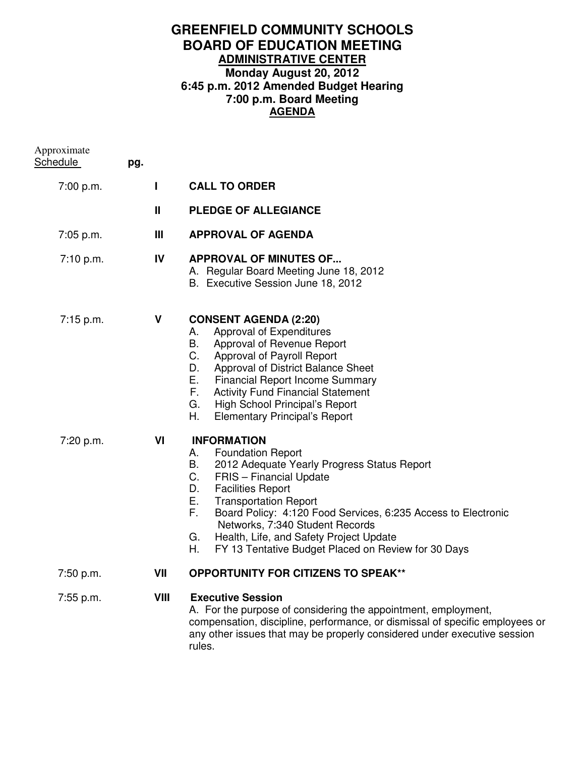# **GREENFIELD COMMUNITY SCHOOLS BOARD OF EDUCATION MEETING ADMINISTRATIVE CENTER Monday August 20, 2012 6:45 p.m. 2012 Amended Budget Hearing 7:00 p.m. Board Meeting AGENDA**

| Approximate<br>Schedule | pg. |              |                                                                                                                                                                                                                                                                                                                                                                                                                                                   |
|-------------------------|-----|--------------|---------------------------------------------------------------------------------------------------------------------------------------------------------------------------------------------------------------------------------------------------------------------------------------------------------------------------------------------------------------------------------------------------------------------------------------------------|
| 7:00 p.m.               |     | $\mathbf{I}$ | <b>CALL TO ORDER</b>                                                                                                                                                                                                                                                                                                                                                                                                                              |
|                         |     | $\mathbf{H}$ | <b>PLEDGE OF ALLEGIANCE</b>                                                                                                                                                                                                                                                                                                                                                                                                                       |
| 7:05 p.m.               |     | Ш            | <b>APPROVAL OF AGENDA</b>                                                                                                                                                                                                                                                                                                                                                                                                                         |
| 7:10 p.m.               |     | IV           | <b>APPROVAL OF MINUTES OF</b><br>A. Regular Board Meeting June 18, 2012<br>B. Executive Session June 18, 2012                                                                                                                                                                                                                                                                                                                                     |
| 7:15 p.m.               |     | V            | <b>CONSENT AGENDA (2:20)</b><br>Approval of Expenditures<br>А.<br>В.<br>Approval of Revenue Report<br>C.<br>Approval of Payroll Report<br>D.<br>Approval of District Balance Sheet<br>Е.<br><b>Financial Report Income Summary</b><br>F.<br><b>Activity Fund Financial Statement</b><br>G.<br>High School Principal's Report<br>Η.<br><b>Elementary Principal's Report</b>                                                                        |
| 7:20 p.m.               |     | VI           | <b>INFORMATION</b><br><b>Foundation Report</b><br>А.<br>2012 Adequate Yearly Progress Status Report<br>В.<br>C.<br><b>FRIS</b> - Financial Update<br><b>Facilities Report</b><br>D.<br>Е.<br><b>Transportation Report</b><br>F.<br>Board Policy: 4:120 Food Services, 6:235 Access to Electronic<br>Networks, 7:340 Student Records<br>Health, Life, and Safety Project Update<br>G.<br>Η.<br>FY 13 Tentative Budget Placed on Review for 30 Days |
| 7:50 p.m.               |     | VII          | <b>OPPORTUNITY FOR CITIZENS TO SPEAK**</b>                                                                                                                                                                                                                                                                                                                                                                                                        |
| 7:55 p.m.               |     | VIII         | <b>Executive Session</b><br>A. For the purpose of considering the appointment, employment,<br>compensation, discipline, performance, or dismissal of specific employees or<br>any other issues that may be properly considered under executive session                                                                                                                                                                                            |

any or<br>rules.